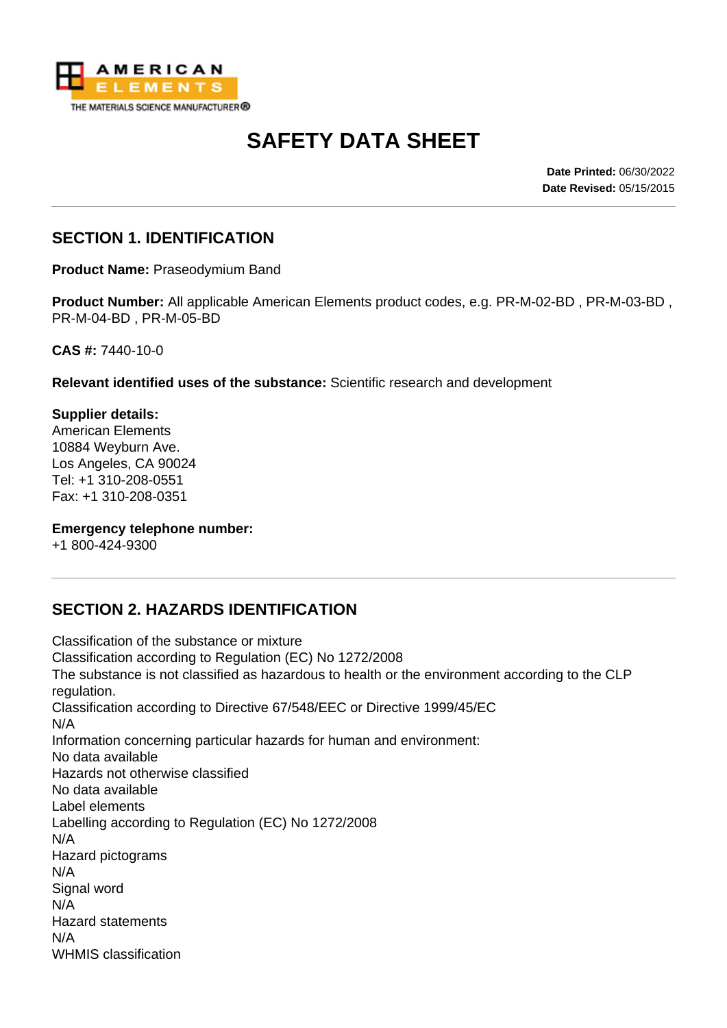

# **SAFETY DATA SHEET**

**Date Printed:** 06/30/2022 **Date Revised:** 05/15/2015

#### **SECTION 1. IDENTIFICATION**

**Product Name:** Praseodymium Band

**Product Number:** All applicable American Elements product codes, e.g. PR-M-02-BD , PR-M-03-BD , PR-M-04-BD , PR-M-05-BD

**CAS #:** 7440-10-0

**Relevant identified uses of the substance:** Scientific research and development

**Supplier details:** American Elements 10884 Weyburn Ave. Los Angeles, CA 90024 Tel: +1 310-208-0551 Fax: +1 310-208-0351

#### **Emergency telephone number:**

+1 800-424-9300

# **SECTION 2. HAZARDS IDENTIFICATION**

Classification of the substance or mixture Classification according to Regulation (EC) No 1272/2008 The substance is not classified as hazardous to health or the environment according to the CLP regulation. Classification according to Directive 67/548/EEC or Directive 1999/45/EC N/A Information concerning particular hazards for human and environment: No data available Hazards not otherwise classified No data available Label elements Labelling according to Regulation (EC) No 1272/2008 N/A Hazard pictograms N/A Signal word N/A Hazard statements N/A WHMIS classification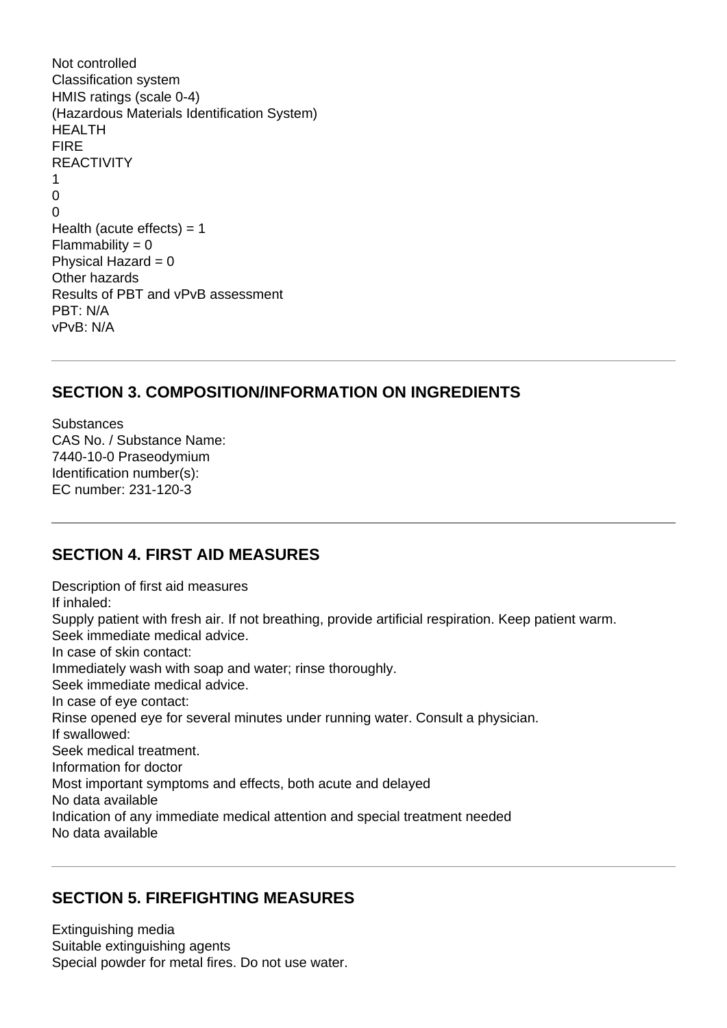```
Not controlled
Classification system
HMIS ratings (scale 0-4)
(Hazardous Materials Identification System)
HEALTH
FIRE
REACTIVITY
1
\Omega\OmegaHealth (acute effects) = 1Flammability = 0Physical Hazard = 0Other hazards
Results of PBT and vPvB assessment
PBT: N/A
vPvB: N/A
```
#### **SECTION 3. COMPOSITION/INFORMATION ON INGREDIENTS**

**Substances** CAS No. / Substance Name: 7440-10-0 Praseodymium Identification number(s): EC number: 231-120-3

#### **SECTION 4. FIRST AID MEASURES**

Description of first aid measures If inhaled: Supply patient with fresh air. If not breathing, provide artificial respiration. Keep patient warm. Seek immediate medical advice. In case of skin contact: Immediately wash with soap and water; rinse thoroughly. Seek immediate medical advice. In case of eye contact: Rinse opened eye for several minutes under running water. Consult a physician. If swallowed: Seek medical treatment. Information for doctor Most important symptoms and effects, both acute and delayed No data available Indication of any immediate medical attention and special treatment needed No data available

#### **SECTION 5. FIREFIGHTING MEASURES**

Extinguishing media Suitable extinguishing agents Special powder for metal fires. Do not use water.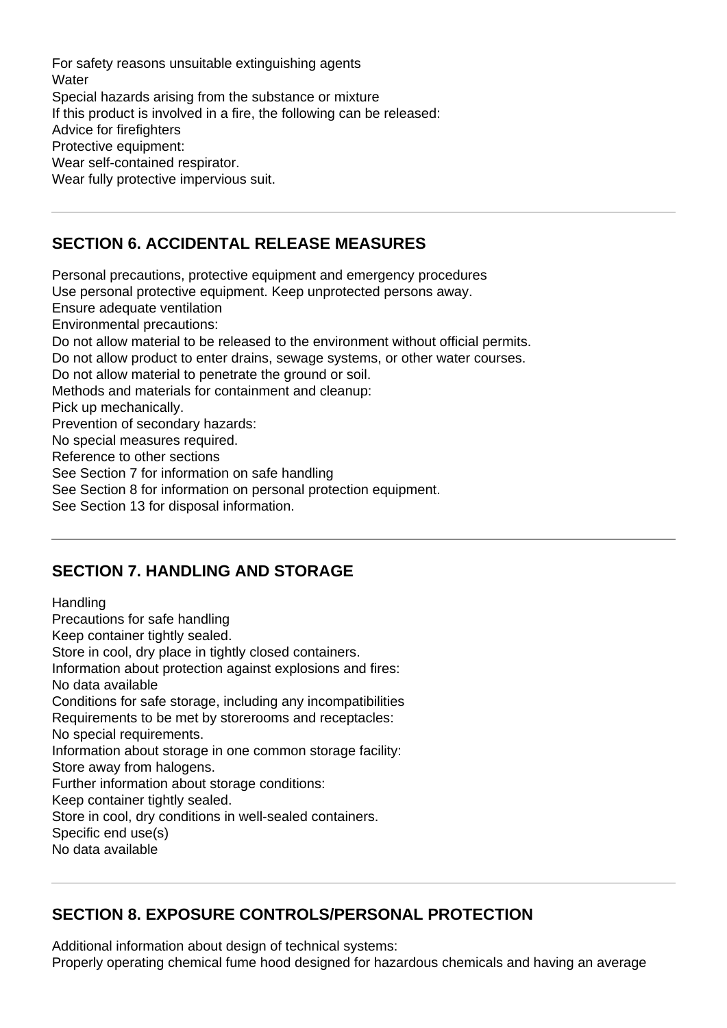For safety reasons unsuitable extinguishing agents **Water** Special hazards arising from the substance or mixture If this product is involved in a fire, the following can be released: Advice for firefighters Protective equipment: Wear self-contained respirator. Wear fully protective impervious suit.

# **SECTION 6. ACCIDENTAL RELEASE MEASURES**

Personal precautions, protective equipment and emergency procedures Use personal protective equipment. Keep unprotected persons away. Ensure adequate ventilation Environmental precautions: Do not allow material to be released to the environment without official permits. Do not allow product to enter drains, sewage systems, or other water courses. Do not allow material to penetrate the ground or soil. Methods and materials for containment and cleanup: Pick up mechanically. Prevention of secondary hazards: No special measures required. Reference to other sections See Section 7 for information on safe handling See Section 8 for information on personal protection equipment.

See Section 13 for disposal information.

#### **SECTION 7. HANDLING AND STORAGE**

**Handling** Precautions for safe handling Keep container tightly sealed. Store in cool, dry place in tightly closed containers. Information about protection against explosions and fires: No data available Conditions for safe storage, including any incompatibilities Requirements to be met by storerooms and receptacles: No special requirements. Information about storage in one common storage facility: Store away from halogens. Further information about storage conditions: Keep container tightly sealed. Store in cool, dry conditions in well-sealed containers. Specific end use(s) No data available

# **SECTION 8. EXPOSURE CONTROLS/PERSONAL PROTECTION**

Additional information about design of technical systems: Properly operating chemical fume hood designed for hazardous chemicals and having an average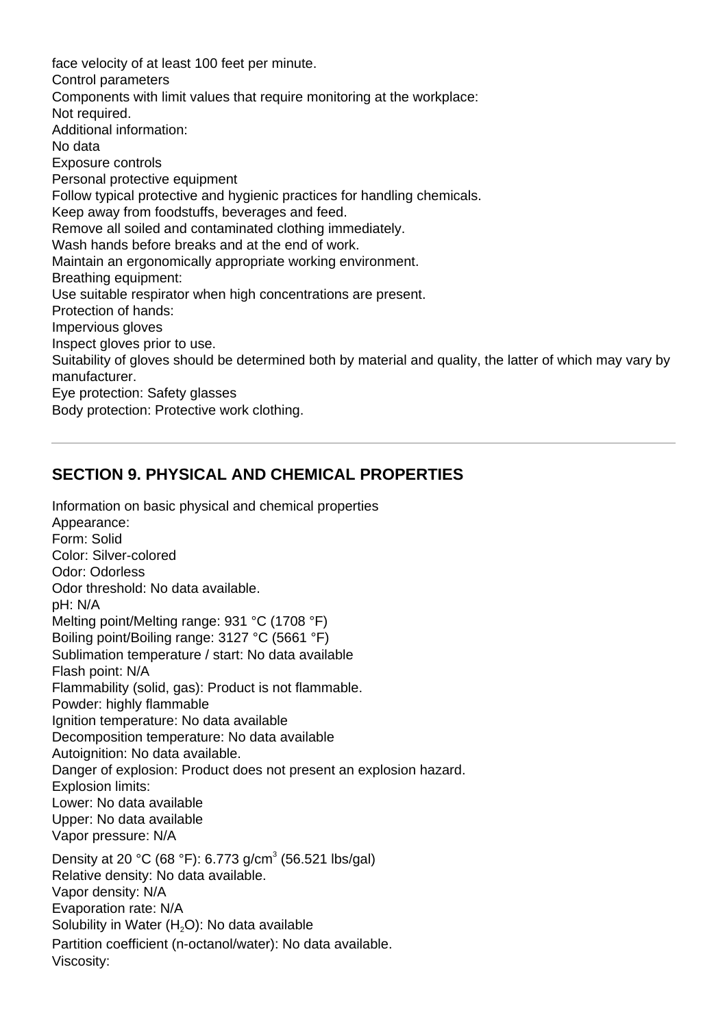face velocity of at least 100 feet per minute. Control parameters Components with limit values that require monitoring at the workplace: Not required. Additional information: No data Exposure controls Personal protective equipment Follow typical protective and hygienic practices for handling chemicals. Keep away from foodstuffs, beverages and feed. Remove all soiled and contaminated clothing immediately. Wash hands before breaks and at the end of work. Maintain an ergonomically appropriate working environment. Breathing equipment: Use suitable respirator when high concentrations are present. Protection of hands: Impervious gloves Inspect gloves prior to use. Suitability of gloves should be determined both by material and quality, the latter of which may vary by manufacturer. Eye protection: Safety glasses Body protection: Protective work clothing.

#### **SECTION 9. PHYSICAL AND CHEMICAL PROPERTIES**

Information on basic physical and chemical properties Appearance: Form: Solid Color: Silver-colored Odor: Odorless Odor threshold: No data available. pH: N/A Melting point/Melting range: 931 °C (1708 °F) Boiling point/Boiling range: 3127 °C (5661 °F) Sublimation temperature / start: No data available Flash point: N/A Flammability (solid, gas): Product is not flammable. Powder: highly flammable Ignition temperature: No data available Decomposition temperature: No data available Autoignition: No data available. Danger of explosion: Product does not present an explosion hazard. Explosion limits: Lower: No data available Upper: No data available Vapor pressure: N/A Density at 20 °C (68 °F): 6.773 g/cm<sup>3</sup> (56.521 lbs/gal) Relative density: No data available. Vapor density: N/A Evaporation rate: N/A Solubility in Water  $(H<sub>2</sub>O)$ : No data available Partition coefficient (n-octanol/water): No data available. Viscosity: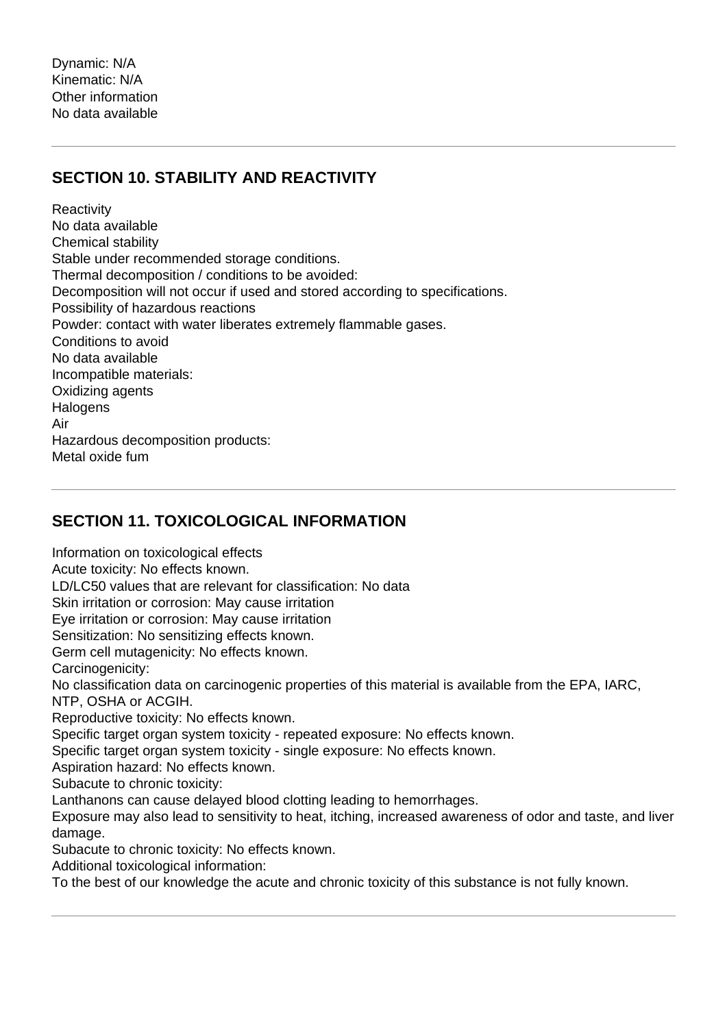# **SECTION 10. STABILITY AND REACTIVITY**

**Reactivity** No data available Chemical stability Stable under recommended storage conditions. Thermal decomposition / conditions to be avoided: Decomposition will not occur if used and stored according to specifications. Possibility of hazardous reactions Powder: contact with water liberates extremely flammable gases. Conditions to avoid No data available Incompatible materials: Oxidizing agents **Halogens** Air Hazardous decomposition products: Metal oxide fum

# **SECTION 11. TOXICOLOGICAL INFORMATION**

Information on toxicological effects Acute toxicity: No effects known. LD/LC50 values that are relevant for classification: No data Skin irritation or corrosion: May cause irritation Eye irritation or corrosion: May cause irritation Sensitization: No sensitizing effects known. Germ cell mutagenicity: No effects known. Carcinogenicity: No classification data on carcinogenic properties of this material is available from the EPA, IARC, NTP, OSHA or ACGIH. Reproductive toxicity: No effects known. Specific target organ system toxicity - repeated exposure: No effects known. Specific target organ system toxicity - single exposure: No effects known. Aspiration hazard: No effects known. Subacute to chronic toxicity: Lanthanons can cause delayed blood clotting leading to hemorrhages. Exposure may also lead to sensitivity to heat, itching, increased awareness of odor and taste, and liver damage. Subacute to chronic toxicity: No effects known. Additional toxicological information: To the best of our knowledge the acute and chronic toxicity of this substance is not fully known.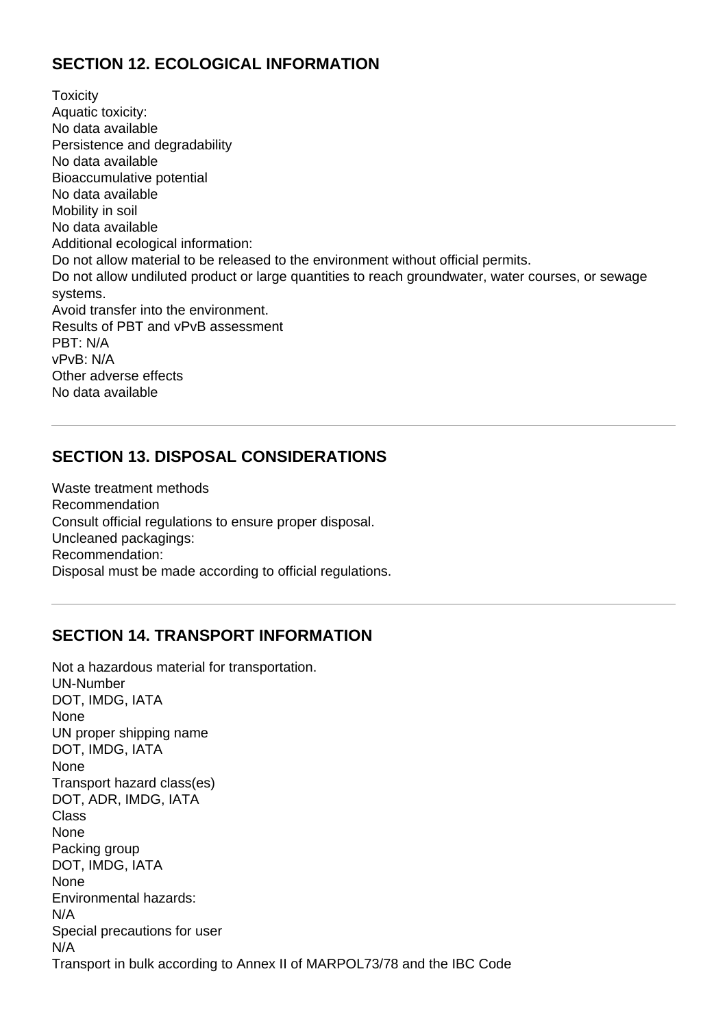# **SECTION 12. ECOLOGICAL INFORMATION**

**Toxicity** Aquatic toxicity: No data available Persistence and degradability No data available Bioaccumulative potential No data available Mobility in soil No data available Additional ecological information: Do not allow material to be released to the environment without official permits. Do not allow undiluted product or large quantities to reach groundwater, water courses, or sewage systems. Avoid transfer into the environment. Results of PBT and vPvB assessment PBT: N/A vPvB: N/A Other adverse effects No data available

#### **SECTION 13. DISPOSAL CONSIDERATIONS**

Waste treatment methods Recommendation Consult official regulations to ensure proper disposal. Uncleaned packagings: Recommendation: Disposal must be made according to official regulations.

# **SECTION 14. TRANSPORT INFORMATION**

Not a hazardous material for transportation. UN-Number DOT, IMDG, IATA None UN proper shipping name DOT, IMDG, IATA None Transport hazard class(es) DOT, ADR, IMDG, IATA Class None Packing group DOT, IMDG, IATA None Environmental hazards: N/A Special precautions for user N/A Transport in bulk according to Annex II of MARPOL73/78 and the IBC Code